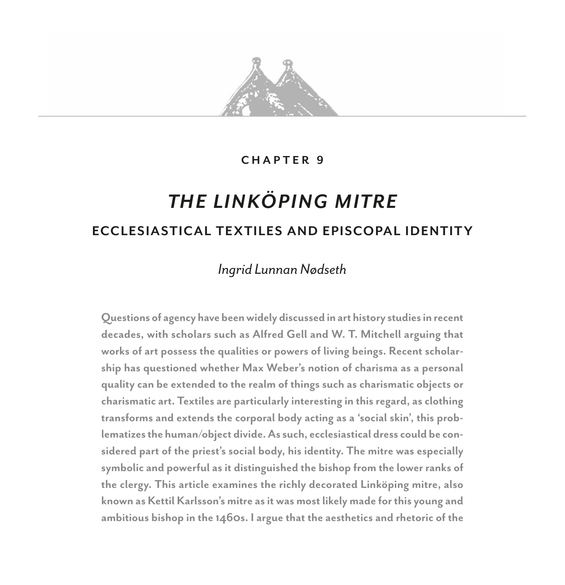

#### **CHAPTER 9**

# *THE LINKÖPING MITRE* **ECCLESIASTICAL TEXTILES AND EPISCOPAL IDENTITY**

# *Ingrid Lunnan Nødseth*

**Questions of agency have been widely discussed in art history studies in recent decades, with scholars such as Alfred Gell and W. T. Mitchell arguing that works of art possess the qualities or powers of living beings. Recent scholarship has questioned whether Max Weber's notion of charisma as a personal quality can be extended to the realm of things such as charismatic objects or charismatic art. Textiles are particularly interesting in this regard, as clothing transforms and extends the corporal body acting as a 'social skin', this problematizes the human/object divide. As such, ecclesiastical dress could be considered part of the priest's social body, his identity. The mitre was especially symbolic and powerful as it distinguished the bishop from the lower ranks of the clergy. This article examines the richly decorated Linköping mitre, also known as Kettil Karlsson's mitre as it was most likely made for this young and ambitious bishop in the 1460s. I argue that the aesthetics and rhetoric of the**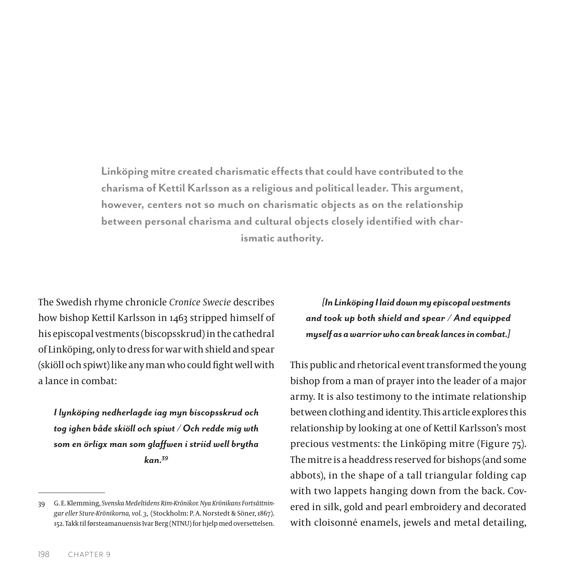**Linköping mitre created charismatic effects that could have contributed to the charisma of Kettil Karlsson as a religious and political leader. This argument, however, centers not so much on charismatic objects as on the relationship between personal charisma and cultural objects closely identified with charismatic authority.**

The Swedish rhyme chronicle *Cronice Swecie* describes how bishop Kettil Karlsson in 1463 stripped himself of his episcopal vestments (biscopsskrud) in the cathedral of Linköping, only to dress for war with shield and spear (skiöll och spiwt) like any man who could fight well with a lance in combat:

*I lynköping nedherlagde iag myn biscopsskrud och tog ighen både skiöll och spiwt / Och redde mig wth som en örligx man som glaffwen i striid well brytha kan.39*

*[In Linköping I laid down my episcopal vestments and took up both shield and spear / And equipped myself as a warrior who can break lances in combat.]*

This public and rhetorical event transformed the young bishop from a man of prayer into the leader of a major army. It is also testimony to the intimate relationship between clothing and identity. This article explores this relationship by looking at one of Kettil Karlsson's most precious vestments: the Linköping mitre (Figure 75). The mitre is a headdress reserved for bishops (and some abbots), in the shape of a tall triangular folding [cap](https://en.wikipedia.org/wiki/Cap) with two [lappets](https://en.wikipedia.org/wiki/Lappet) hanging down from the back. Covered in silk, gold and pearl embroidery and decorated with cloisonné enamels, jewels and metal detailing,

<sup>39</sup> G. E. Klemming, *Svenska Medeltidens Rim-Krönikor. Nya Krönikans Fortsättningar eller Sture-Krönikorna, vol. 3*, (Stockholm: P. A. Norstedt & Söner, 1867). 152. Takk til førsteamanuensis Ivar Berg (NTNU) for hjelp med oversettelsen.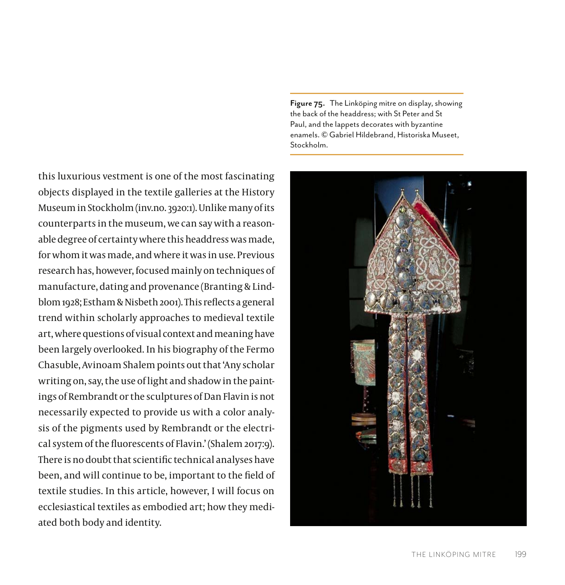this luxurious vestment is one of the most fascinating objects displayed in the textile galleries at the History Museum in Stockholm (inv.no. 3920:1). Unlike many of its counterparts in the museum, we can say with a reasonable degree of certainty where this headdress was made, for whom it was made, and where it was in use. Previous research has, however, focused mainly on techniques of manufacture, dating and provenance (Branting & Lindblom 1928; Estham & Nisbeth 2001). This reflects a general trend within scholarly approaches to medieval textile art, where questions of visual context and meaning have been largely overlooked. In his biography of the Fermo Chasuble, Avinoam Shalem points out that 'Any scholar writing on, say, the use of light and shadow in the paintings of Rembrandt or the sculptures of Dan Flavin is not necessarily expected to provide us with a color analysis of the pigments used by Rembrandt or the electrical system of the fluorescents of Flavin.' (Shalem 2017:9). There is no doubt that scientific technical analyses have been, and will continue to be, important to the field of textile studies. In this article, however, I will focus on ecclesiastical textiles as embodied art; how they mediated both body and identity.

**Figure 75.** The Linköping mitre on display, showing the back of the headdress; with St Peter and St Paul, and the lappets decorates with byzantine enamels. © Gabriel Hildebrand, Historiska Museet, Stockholm.

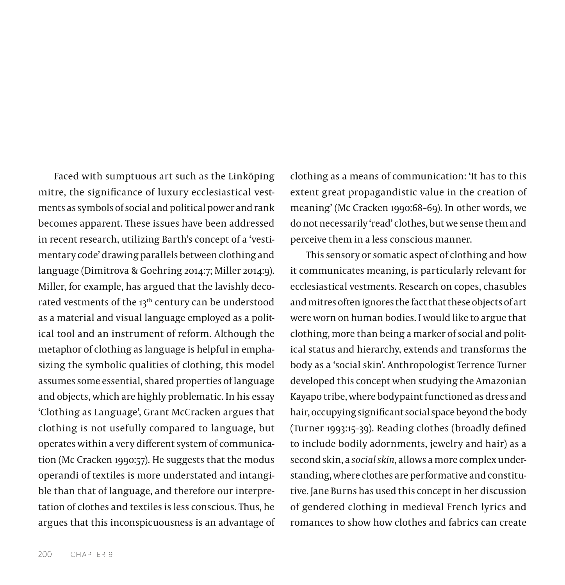Faced with sumptuous art such as the Linköping mitre, the significance of luxury ecclesiastical vestments as symbols of social and political power and rank becomes apparent. These issues have been addressed in recent research, utilizing Barth's concept of a 'vestimentary code' drawing parallels between clothing and language (Dimitrova & Goehring 2014:7; Miller 2014:9). Miller, for example, has argued that the lavishly decorated vestments of the 13<sup>th</sup> century can be understood as a material and visual language employed as a political tool and an instrument of reform. Although the metaphor of clothing as language is helpful in emphasizing the symbolic qualities of clothing, this model assumes some essential, shared properties of language and objects, which are highly problematic. In his essay 'Clothing as Language', Grant McCracken argues that clothing is not usefully compared to language, but operates within a very different system of communication (Mc Cracken 1990:57). He suggests that the modus operandi of textiles is more understated and intangible than that of language, and therefore our interpretation of clothes and textiles is less conscious. Thus, he argues that this inconspicuousness is an advantage of clothing as a means of communication: 'It has to this extent great propagandistic value in the creation of meaning' (Mc Cracken 1990:68–69). In other words, we do not necessarily 'read' clothes, but we sense them and perceive them in a less conscious manner.

This sensory or somatic aspect of clothing and how it communicates meaning, is particularly relevant for ecclesiastical vestments. Research on copes, chasubles and mitres often ignores the fact that these objects of art were worn on human bodies. I would like to argue that clothing, more than being a marker of social and political status and hierarchy, extends and transforms the body as a 'social skin'. Anthropologist Terrence Turner developed this concept when studying the Amazonian Kayapo tribe, where bodypaint functioned as dress and hair, occupying significant social space beyond the body (Turner 1993:15–39). Reading clothes (broadly defined to include bodily adornments, jewelry and hair) as a second skin, a *social skin*, allows a more complex understanding, where clothes are performative and constitutive. Jane Burns has used this concept in her discussion of gendered clothing in medieval French lyrics and romances to show how clothes and fabrics can create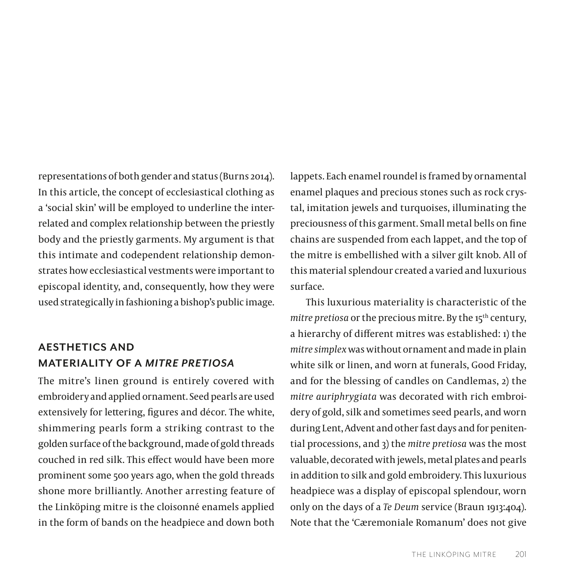representations of both gender and status (Burns 2014). In this article, the concept of ecclesiastical clothing as a 'social skin' will be employed to underline the interrelated and complex relationship between the priestly body and the priestly garments. My argument is that this intimate and codependent relationship demonstrates how ecclesiastical vestments were important to episcopal identity, and, consequently, how they were used strategically in fashioning a bishop's public image.

### **AESTHETICS AND MATERIALITY OF A** *MITRE PRETIOSA*

The mitre's linen ground is entirely covered with embroidery and applied ornament. Seed pearls are used extensively for lettering, figures and décor. The white, shimmering pearls form a striking contrast to the golden surface of the background, made of gold threads couched in red silk. This effect would have been more prominent some 500 years ago, when the gold threads shone more brilliantly. Another arresting feature of the Linköping mitre is the cloisonné enamels applied in the form of bands on the headpiece and down both

lappets. Each enamel roundel is framed by ornamental enamel plaques and precious stones such as rock crystal, imitation jewels and turquoises, illuminating the preciousness of this garment. Small metal bells on fine chains are suspended from each lappet, and the top of the mitre is embellished with a silver gilt knob. All of this material splendour created a varied and luxurious surface.

This luxurious materiality is characteristic of the *mitre pretiosa* or the precious mitre. By the 15<sup>th</sup> century, a hierarchy of different mitres was established: 1) the *mitre simplex* was without ornament and made in plain white silk or linen, and worn at funerals, Good Friday, and for the blessing of candles on Candlemas, 2) the *mitre auriphrygiata* was decorated with rich embroidery of gold, silk and sometimes seed pearls, and worn during Lent, Advent and other fast days and for penitential processions, and 3) the *mitre pretiosa* was the most valuable, decorated with jewels, metal plates and pearls in addition to silk and gold embroidery. This luxurious headpiece was a display of episcopal splendour, worn only on the days of a *Te Deum* service (Braun 1913:404). Note that the 'Cæremoniale Romanum' does not give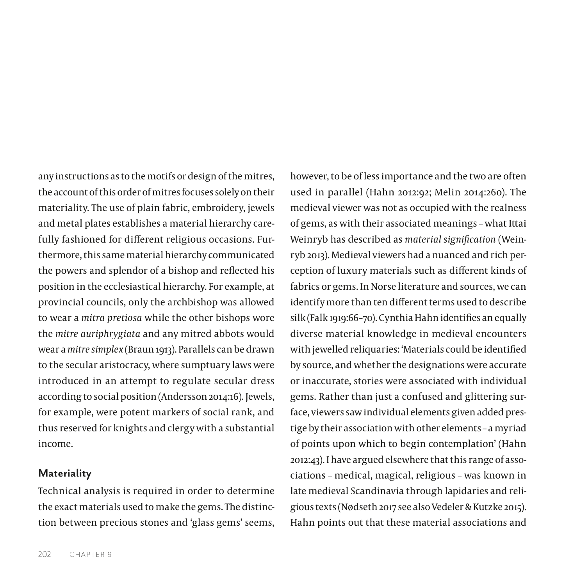any instructions as to the motifs or design of the mitres, the account of this order of mitres focuses solely on their materiality. The use of plain fabric, embroidery, jewels and metal plates establishes a material hierarchy carefully fashioned for different religious occasions. Furthermore, this same material hierarchy communicated the powers and splendor of a bishop and reflected his position in the ecclesiastical hierarchy. For example, at provincial councils, only the archbishop was allowed to wear a *mitra pretiosa* while the other bishops wore the *mitre auriphrygiata* and any mitred abbots would wear a *mitre simplex* (Braun 1913). Parallels can be drawn to the secular aristocracy, where sumptuary laws were introduced in an attempt to regulate secular dress according to social position (Andersson 2014:16). Jewels, for example, were potent markers of social rank, and thus reserved for knights and clergy with a substantial income.

#### **Materiality**

Technical analysis is required in order to determine the exact materials used to make the gems. The distinction between precious stones and 'glass gems' seems, however, to be of less importance and the two are often used in parallel (Hahn 2012:92; Melin 2014:260). The medieval viewer was not as occupied with the realness of gems, as with their associated meanings – what Ittai Weinryb has described as *material signification* (Weinryb 2013). Medieval viewers had a nuanced and rich perception of luxury materials such as different kinds of fabrics or gems. In Norse literature and sources, we can identify more than ten different terms used to describe silk (Falk 1919:66–70). Cynthia Hahn identifies an equally diverse material knowledge in medieval encounters with jewelled reliquaries: 'Materials could be identified by source, and whether the designations were accurate or inaccurate, stories were associated with individual gems. Rather than just a confused and glittering surface, viewers saw individual elements given added prestige by their association with other elements – a myriad of points upon which to begin contemplation' (Hahn 2012:43). I have argued elsewhere that this range of associations – medical, magical, religious – was known in late medieval Scandinavia through lapidaries and religious texts (Nødseth 2017 see also Vedeler & Kutzke 2015). Hahn points out that these material associations and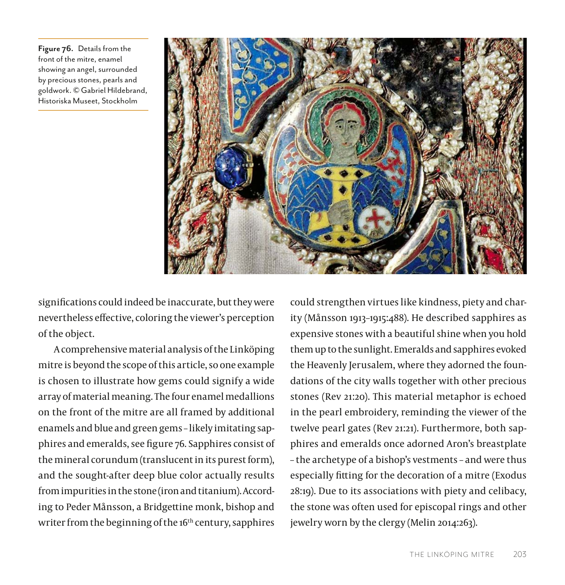**Figure 76.** Details from the front of the mitre, enamel showing an angel, surrounded by precious stones, pearls and goldwork. © Gabriel Hildebrand, Historiska Museet, Stockholm



significations could indeed be inaccurate, but they were nevertheless effective, coloring the viewer's perception of the object.

A comprehensive material analysis of the Linköping mitre is beyond the scope of this article, so one example is chosen to illustrate how gems could signify a wide array of material meaning. The four enamel medallions on the front of the mitre are all framed by additional enamels and blue and green gems – likely imitating sapphires and emeralds, see figure 76. Sapphires consist of the mineral corundum (translucent in its purest form), and the sought-after deep blue color actually results from impurities in the stone (iron and titanium). According to Peder Månsson, a Bridgettine monk, bishop and writer from the beginning of the 16<sup>th</sup> century, sapphires

could strengthen virtues like kindness, piety and charity (Månsson 1913–1915:488). He described sapphires as expensive stones with a beautiful shine when you hold them up to the sunlight. Emeralds and sapphires evoked the Heavenly Jerusalem, where they adorned the foundations of the city walls together with other precious stones (Rev 21:20). This material metaphor is echoed in the pearl embroidery, reminding the viewer of the twelve pearl gates (Rev 21:21). Furthermore, both sapphires and emeralds once adorned Aron's breastplate – the archetype of a bishop's vestments – and were thus especially fitting for the decoration of a mitre (Exodus 28:19). Due to its associations with piety and celibacy, the stone was often used for episcopal rings and other jewelry worn by the clergy (Melin 2014:263).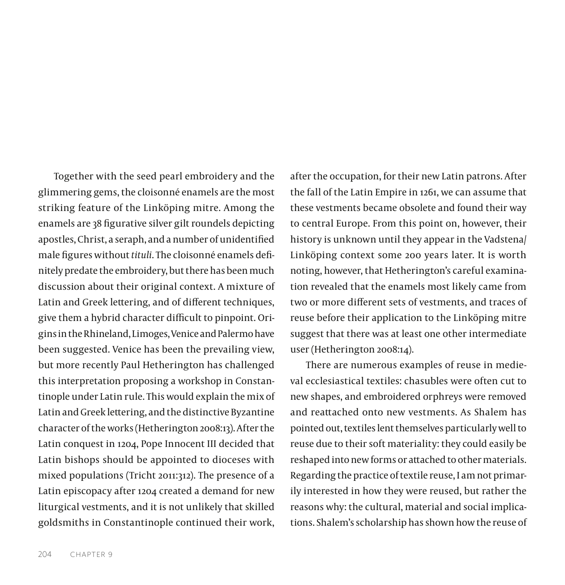Together with the seed pearl embroidery and the glimmering gems, the cloisonné enamels are the most striking feature of the Linköping mitre. Among the enamels are 38 figurative silver gilt roundels depicting apostles, Christ, a seraph, and a number of unidentified male figures without *tituli*. The cloisonné enamels definitely predate the embroidery, but there has been much discussion about their original context. A mixture of Latin and Greek lettering, and of different techniques, give them a hybrid character difficult to pinpoint. Origins in the Rhineland, Limoges, Venice and Palermo have been suggested. Venice has been the prevailing view, but more recently Paul Hetherington has challenged this interpretation proposing a workshop in Constantinople under Latin rule. This would explain the mix of Latin and Greek lettering, and the distinctive Byzantine character of the works (Hetherington 2008:13). After the Latin conquest in 1204, Pope Innocent III decided that Latin bishops should be appointed to dioceses with mixed populations (Tricht 2011:312). The presence of a Latin episcopacy after 1204 created a demand for new liturgical vestments, and it is not unlikely that skilled goldsmiths in Constantinople continued their work,

after the occupation, for their new Latin patrons. After the fall of the Latin Empire in 1261, we can assume that these vestments became obsolete and found their way to central Europe. From this point on, however, their history is unknown until they appear in the Vadstena/ Linköping context some 200 years later. It is worth noting, however, that Hetherington's careful examination revealed that the enamels most likely came from two or more different sets of vestments, and traces of reuse before their application to the Linköping mitre suggest that there was at least one other intermediate user (Hetherington 2008:14).

There are numerous examples of reuse in medieval ecclesiastical textiles: chasubles were often cut to new shapes, and embroidered orphreys were removed and reattached onto new vestments. As Shalem has pointed out, textiles lent themselves particularly well to reuse due to their soft materiality: they could easily be reshaped into new forms or attached to other materials. Regarding the practice of textile reuse, I am not primarily interested in how they were reused, but rather the reasons why: the cultural, material and social implications. Shalem's scholarship has shown how the reuse of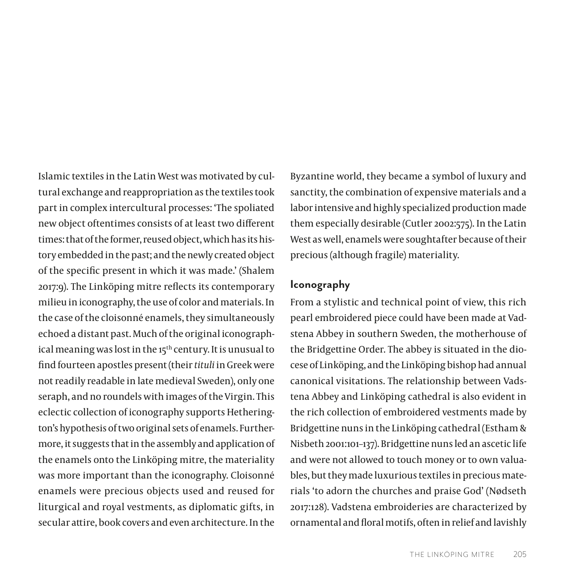Islamic textiles in the Latin West was motivated by cultural exchange and reappropriation as the textiles took part in complex intercultural processes: 'The spoliated new object oftentimes consists of at least two different times: that of the former, reused object, which has its history embedded in the past; and the newly created object of the specific present in which it was made.' (Shalem 2017:9). The Linköping mitre reflects its contemporary milieu in iconography, the use of color and materials. In the case of the cloisonné enamels, they simultaneously echoed a distant past. Much of the original iconographical meaning was lost in the 15<sup>th</sup> century. It is unusual to find fourteen apostles present (their *tituli* in Greek were not readily readable in late medieval Sweden), only one seraph, and no roundels with images of the Virgin. This eclectic collection of iconography supports Hetherington's hypothesis of two original sets of enamels. Furthermore, it suggests that in the assembly and application of the enamels onto the Linköping mitre, the materiality was more important than the iconography. Cloisonné enamels were precious objects used and reused for liturgical and royal vestments, as diplomatic gifts, in secular attire, book covers and even architecture. In the

Byzantine world, they became a symbol of luxury and sanctity, the combination of expensive materials and a labor intensive and highly specialized production made them especially desirable (Cutler 2002:575). In the Latin West as well, enamels were soughtafter because of their precious (although fragile) materiality.

#### **Iconography**

From a stylistic and technical point of view, this rich pearl embroidered piece could have been made at Vadstena Abbey in southern Sweden, the motherhouse of the Bridgettine Order. The abbey is situated in the diocese of Linköping, and the Linköping bishop had annual canonical visitations. The relationship between Vadstena Abbey and Linköping cathedral is also evident in the rich collection of embroidered vestments made by Bridgettine nuns in the Linköping cathedral (Estham & Nisbeth 2001:101–137). Bridgettine nuns led an ascetic life and were not allowed to touch money or to own valuables, but they made luxurious textiles in precious materials 'to adorn the churches and praise God' (Nødseth 2017:128). Vadstena embroideries are characterized by ornamental and floral motifs, often in relief and lavishly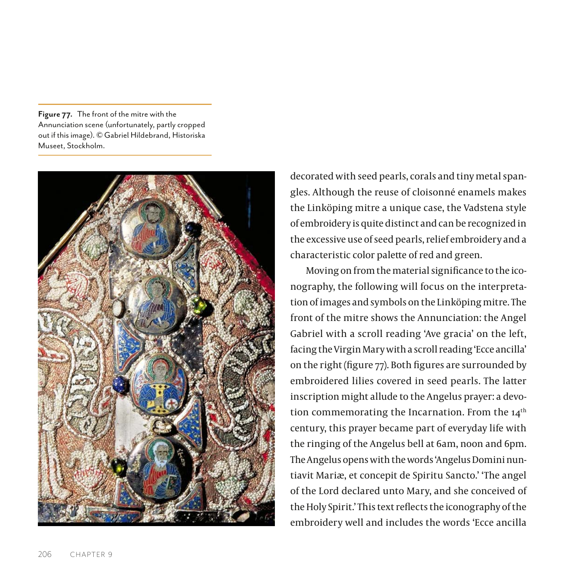**Figure 77.** The front of the mitre with the Annunciation scene (unfortunately, partly cropped out if this image). © Gabriel Hildebrand, Historiska Museet, Stockholm.



decorated with seed pearls, corals and tiny metal spangles. Although the reuse of cloisonné enamels makes the Linköping mitre a unique case, the Vadstena style of embroidery is quite distinct and can be recognized in the excessive use of seed pearls, relief embroidery and a characteristic color palette of red and green.

Moving on from the material significance to the iconography, the following will focus on the interpretation of images and symbols on the Linköping mitre. The front of the mitre shows the Annunciation: the Angel Gabriel with a scroll reading 'Ave gracia' on the left, facing the Virgin Mary with a scroll reading 'Ecce ancilla' on the right (figure 77). Both figures are surrounded by embroidered lilies covered in seed pearls. The latter inscription might allude to the Angelus prayer: a devo-tion commemorating the [Incarnation.](https://en.wikipedia.org/wiki/Incarnation_(Christianity)) From the 14<sup>th</sup> century, this prayer became part of everyday life with the ringing of the Angelus bell at 6am, noon and 6pm. The Angelus opens with the words 'Angelus Domini nuntiavit Mariæ, et concepit de Spiritu Sancto.' 'The angel of the Lord declared unto Mary, and she conceived of the [Holy Spirit](https://en.wikipedia.org/wiki/Holy_Spirit).' This text reflects the iconography of the embroidery well and includes the words 'Ecce ancilla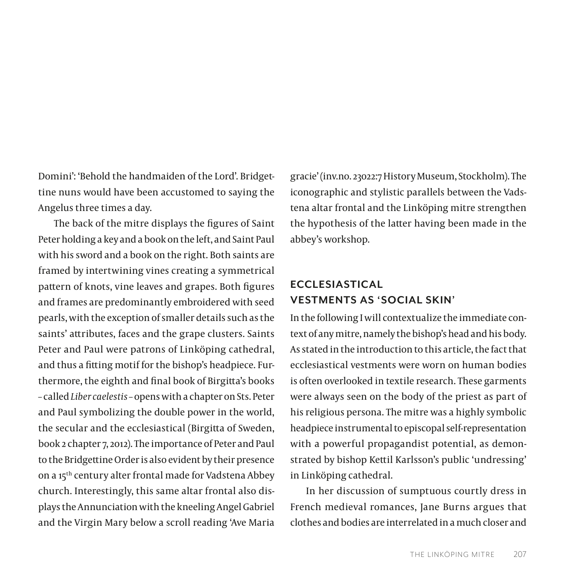Domini': 'Behold the handmaiden of the Lord'. Bridgettine nuns would have been accustomed to saying the Angelus three times a day.

The back of the mitre displays the figures of Saint Peter holding a key and a book on the left, and Saint Paul with his sword and a book on the right. Both saints are framed by intertwining vines creating a symmetrical pattern of knots, vine leaves and grapes. Both figures and frames are predominantly embroidered with seed pearls, with the exception of smaller details such as the saints' attributes, faces and the grape clusters. Saints Peter and Paul were patrons of Linköping cathedral, and thus a fitting motif for the bishop's headpiece. Furthermore, the eighth and final book of Birgitta's books – called *Liber caelestis* – opens with a chapter on Sts. Peter and Paul symbolizing the double power in the world, the secular and the ecclesiastical (Birgitta of Sweden, book 2 chapter 7, 2012). The importance of Peter and Paul to the Bridgettine Order is also evident by their presence on a 15th century alter frontal made for Vadstena Abbey church. Interestingly, this same altar frontal also displays the Annunciation with the kneeling Angel Gabriel and the Virgin Mary below a scroll reading 'Ave Maria

gracie' (inv.no. 23022:7 History Museum, Stockholm). The iconographic and stylistic parallels between the Vadstena altar frontal and the Linköping mitre strengthen the hypothesis of the latter having been made in the abbey's workshop.

# **ECCLESIASTICAL VESTMENTS AS 'SOCIAL SKIN'**

In the following I will contextualize the immediate context of any mitre, namely the bishop's head and his body. As stated in the introduction to this article, the fact that ecclesiastical vestments were worn on human bodies is often overlooked in textile research. These garments were always seen on the body of the priest as part of his religious persona. The mitre was a highly symbolic headpiece instrumental to episcopal self-representation with a powerful propagandist potential, as demonstrated by bishop Kettil Karlsson's public 'undressing' in Linköping cathedral.

In her discussion of sumptuous courtly dress in French medieval romances, Jane Burns argues that clothes and bodies are interrelated in a much closer and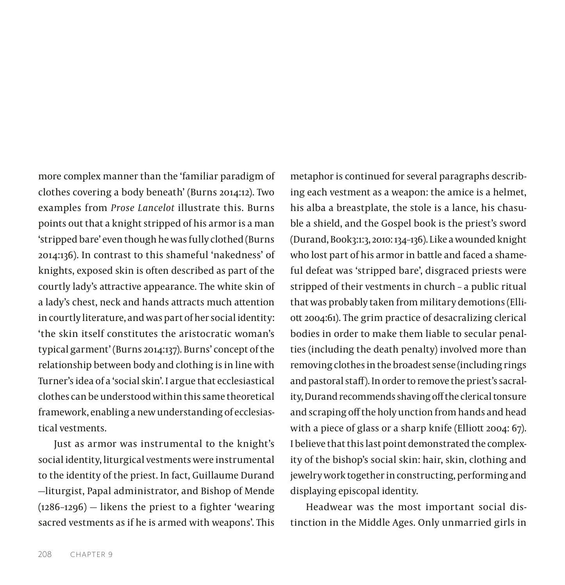more complex manner than the 'familiar paradigm of clothes covering a body beneath' (Burns 2014:12). Two examples from *Prose Lancelot* illustrate this. Burns points out that a knight stripped of his armor is a man 'stripped bare' even though he was fully clothed (Burns 2014:136). In contrast to this shameful 'nakedness' of knights, exposed skin is often described as part of the courtly lady's attractive appearance. The white skin of a lady's chest, neck and hands attracts much attention in courtly literature, and was part of her social identity: 'the skin itself constitutes the aristocratic woman's typical garment' (Burns 2014:137). Burns' concept of the relationship between body and clothing is in line with Turner's idea of a 'social skin'. I argue that ecclesiastical clothes can be understood within this same theoretical framework, enabling a new understanding of ecclesiastical vestments.

Just as armor was instrumental to the knight's social identity, liturgical vestments were instrumental to the identity of the priest. In fact, Guillaume Durand —liturgist, Papal administrator, and Bishop of Mende (1286–1296) — likens the priest to a fighter 'wearing sacred vestments as if he is armed with weapons'. This

metaphor is continued for several paragraphs describing each vestment as a weapon: the amice is a helmet, his alba a breastplate, the stole is a lance, his chasuble a shield, and the Gospel book is the priest's sword (Durand, Book3:1:3, 2010: 134–136). Like a wounded knight who lost part of his armor in battle and faced a shameful defeat was 'stripped bare', disgraced priests were stripped of their vestments in church – a public ritual that was probably taken from military demotions (Elliott 2004:61). The grim practice of desacralizing clerical bodies in order to make them liable to secular penalties (including the death penalty) involved more than removing clothes in the broadest sense (including rings and pastoral staff). In order to remove the priest's sacrality, Durand recommends shaving off the clerical tonsure and scraping off the holy unction from hands and head with a piece of glass or a sharp knife (Elliott 2004: 67). I believe that this last point demonstrated the complexity of the bishop's social skin: hair, skin, clothing and jewelry work together in constructing, performing and displaying episcopal identity.

Headwear was the most important social distinction in the Middle Ages. Only unmarried girls in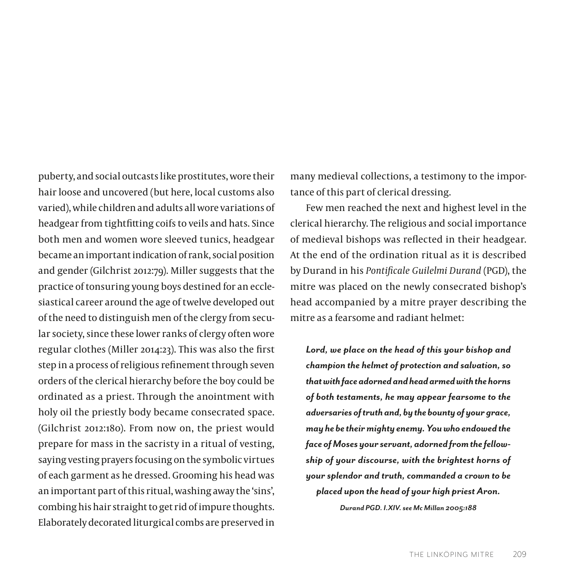puberty, and social outcasts like prostitutes, wore their hair loose and uncovered (but here, local customs also varied), while children and adults all wore variations of headgear from tightfitting coifs to veils and hats. Since both men and women wore sleeved tunics, headgear became an important indication of rank, social position and gender (Gilchrist 2012:79). Miller suggests that the practice of tonsuring young boys destined for an ecclesiastical career around the age of twelve developed out of the need to distinguish men of the clergy from secular society, since these lower ranks of clergy often wore regular clothes (Miller 2014:23). This was also the first step in a process of religious refinement through seven orders of the clerical hierarchy before the boy could be ordinated as a priest. Through the anointment with holy oil the priestly body became consecrated space. (Gilchrist 2012:180). From now on, the priest would prepare for mass in the sacristy in a ritual of vesting, saying vesting prayers focusing on the symbolic virtues of each garment as he dressed. Grooming his head was an important part of this ritual, washing away the 'sins', combing his hair straight to get rid of impure thoughts. Elaborately decorated liturgical combs are preserved in

many medieval collections, a testimony to the importance of this part of clerical dressing.

Few men reached the next and highest level in the clerical hierarchy. The religious and social importance of medieval bishops was reflected in their headgear. At the end of the ordination ritual as it is described by Durand in his *Pontificale Guilelmi Durand* (PGD), the mitre was placed on the newly consecrated bishop's head accompanied by a mitre prayer describing the mitre as a fearsome and radiant helmet:

*Lord, we place on the head of this your bishop and champion the helmet of protection and salvation, so that with face adorned and head armed with the horns of both testaments, he may appear fearsome to the adversaries of truth and, by the bounty of your grace, may he be their mighty enemy. You who endowed the face of Moses your servant, adorned from the fellowship of your discourse, with the brightest horns of your splendor and truth, commanded a crown to be placed upon the head of your high priest Aron.*

*Durand PGD. I.XIV. see Mc Millan 2005:188*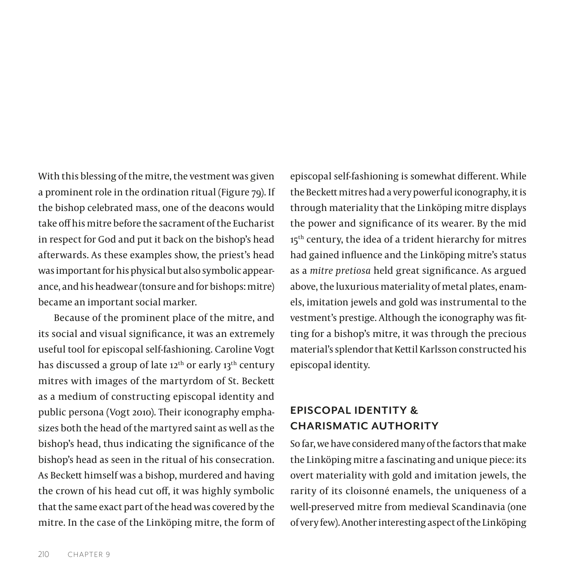With this blessing of the mitre, the vestment was given a prominent role in the ordination ritual (Figure 79). If the bishop celebrated mass, one of the deacons would take off his mitre before the sacrament of the Eucharist in respect for God and put it back on the bishop's head afterwards. As these examples show, the priest's head was important for his physical but also symbolic appearance, and his headwear (tonsure and for bishops: mitre) became an important social marker.

Because of the prominent place of the mitre, and its social and visual significance, it was an extremely useful tool for episcopal self-fashioning. Caroline Vogt has discussed a group of late 12<sup>th</sup> or early 13<sup>th</sup> century mitres with images of the martyrdom of St. Beckett as a medium of constructing episcopal identity and public persona (Vogt 2010). Their iconography emphasizes both the head of the martyred saint as well as the bishop's head, thus indicating the significance of the bishop's head as seen in the ritual of his consecration. As Beckett himself was a bishop, murdered and having the crown of his head cut off, it was highly symbolic that the same exact part of the head was covered by the mitre. In the case of the Linköping mitre, the form of episcopal self-fashioning is somewhat different. While the Beckett mitres had a very powerful iconography, it is through materiality that the Linköping mitre displays the power and significance of its wearer. By the mid 15<sup>th</sup> century, the idea of a trident hierarchy for mitres had gained influence and the Linköping mitre's status as a *mitre pretiosa* held great significance. As argued above, the luxurious materiality of metal plates, enamels, imitation jewels and gold was instrumental to the vestment's prestige. Although the iconography was fitting for a bishop's mitre, it was through the precious material's splendor that Kettil Karlsson constructed his episcopal identity.

# **EPISCOPAL IDENTITY & CHARISMATIC AUTHORITY**

So far, we have considered many of the factors that make the Linköping mitre a fascinating and unique piece: its overt materiality with gold and imitation jewels, the rarity of its cloisonné enamels, the uniqueness of a well-preserved mitre from medieval Scandinavia (one of very few). Another interesting aspect of the Linköping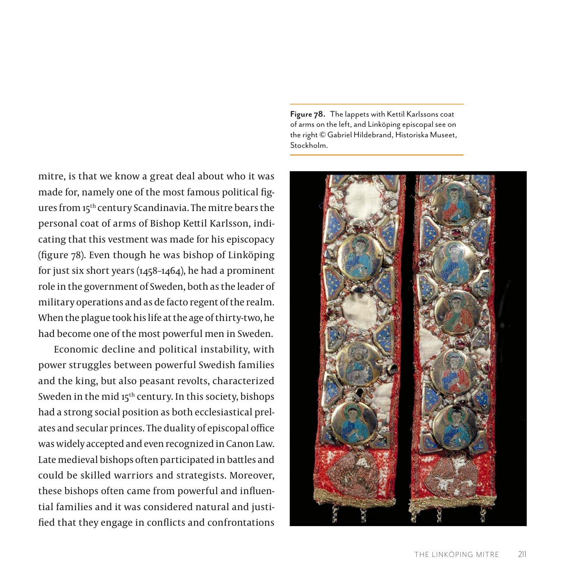mitre, is that we know a great deal about who it was made for, namely one of the most famous political figures from 15th century Scandinavia. The mitre bears the personal coat of arms of Bishop Kettil Karlsson, indicating that this vestment was made for his episcopacy (figure 78). Even though he was bishop of Linköping for just six short years (1458–1464), he had a prominent role in the government of Sweden, both as the leader of military operations and as de facto regent of the realm. When the plague took his life at the age of thirty-two, he had become one of the most powerful men in Sweden.

Economic decline and political instability, with power struggles between powerful Swedish families and the king, but also peasant revolts, characterized Sweden in the mid 15<sup>th</sup> century. In this society, bishops had a strong social position as both ecclesiastical prelates and secular princes. The duality of episcopal office was widely accepted and even recognized in Canon Law. Late medieval bishops often participated in battles and could be skilled warriors and strategists. Moreover, these bishops often came from powerful and influential families and it was considered natural and justified that they engage in conflicts and confrontations

**Figure 78.** The lappets with Kettil Karlssons coat of arms on the left, and Linköping episcopal see on the right © Gabriel Hildebrand, Historiska Museet, Stockholm.

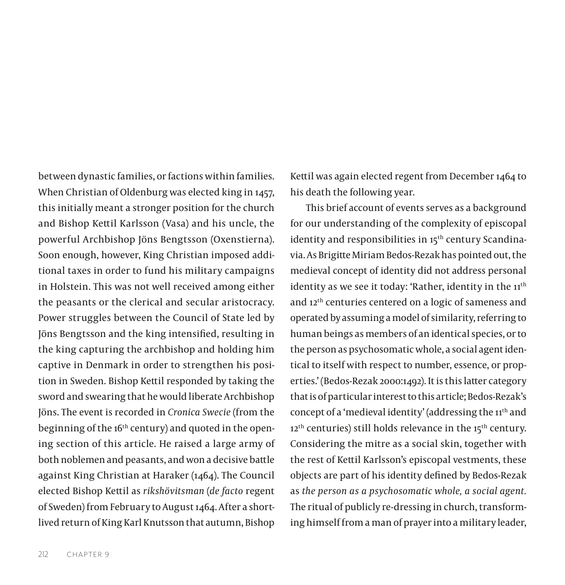between dynastic families, or factions within families. When Christian of Oldenburg was elected king in 1457, this initially meant a stronger position for the church and Bishop Kettil Karlsson (Vasa) and his uncle, the powerful Archbishop Jöns Bengtsson (Oxenstierna). Soon enough, however, King Christian imposed additional taxes in order to fund his military campaigns in Holstein. This was not well received among either the peasants or the clerical and secular aristocracy. Power struggles between the Council of State led by Jöns Bengtsson and the king intensified, resulting in the king capturing the archbishop and holding him captive in Denmark in order to strengthen his position in Sweden. Bishop Kettil responded by taking the sword and swearing that he would liberate Archbishop Jöns. The event is recorded in *Cronica Swecie* (from the beginning of the 16<sup>th</sup> century) and quoted in the opening section of this article. He raised a large army of both noblemen and peasants, and won a decisive battle against King Christian at Haraker (1464). The Council elected Bishop Kettil as *rikshövitsman* (*de facto* regent of Sweden) from February to August 1464. After a shortlived return of King Karl Knutsson that autumn, Bishop

Kettil was again elected regent from December 1464 to his death the following year.

This brief account of events serves as a background for our understanding of the complexity of episcopal identity and responsibilities in 15<sup>th</sup> century Scandinavia. As Brigitte Miriam Bedos-Rezak has pointed out, the medieval concept of identity did not address personal identity as we see it today: 'Rather, identity in the 11<sup>th</sup> and 12th centuries centered on a logic of sameness and operated by assuming a model of similarity, referring to human beings as members of an identical species, or to the person as psychosomatic whole, a social agent identical to itself with respect to number, essence, or properties.' (Bedos-Rezak 2000:1492). It is this latter category that is of particular interest to this article; Bedos-Rezak's concept of a 'medieval identity' (addressing the 11th and  $12<sup>th</sup>$  centuries) still holds relevance in the  $15<sup>th</sup>$  century. Considering the mitre as a social skin, together with the rest of Kettil Karlsson's episcopal vestments, these objects are part of his identity defined by Bedos-Rezak as *the person as a psychosomatic whole, a social agent.*  The ritual of publicly re-dressing in church, transforming himself from a man of prayer into a military leader,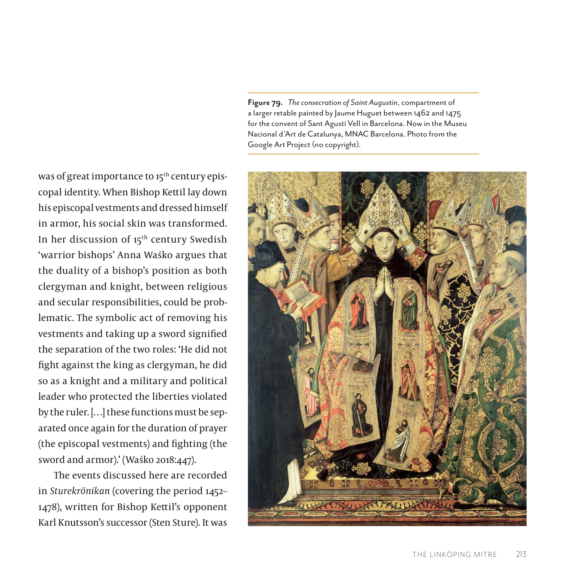**Figure 79.** *The consecration of Saint Augustin*, compartment of a larger retable painted by Jaume Huguet between 1462 and 1475 for the convent of Sant Agustí Vell in Barcelona. Now in the Museu Nacional d'Art de Catalunya, MNAC Barcelona. Photo from the Google Art Project (no copyright).



was of great importance to 15<sup>th</sup> century episcopal identity. When Bishop Kettil lay down his episcopal vestments and dressed himself in armor, his social skin was transformed. In her discussion of 15<sup>th</sup> century Swedish 'warrior bishops' Anna Waśko argues that the duality of a bishop's position as both clergyman and knight, between religious and secular responsibilities, could be problematic. The symbolic act of removing his vestments and taking up a sword signified the separation of the two roles: 'He did not fight against the king as clergyman, he did so as a knight and a military and political leader who protected the liberties violated by the ruler. […] these functions must be separated once again for the duration of prayer (the episcopal vestments) and fighting (the sword and armor).' (Waśko 2018:447).

The events discussed here are recorded in *Sturekrönikan* (covering the period 1452– 1478), written for Bishop Kettil's opponent Karl Knutsson's successor (Sten Sture). It was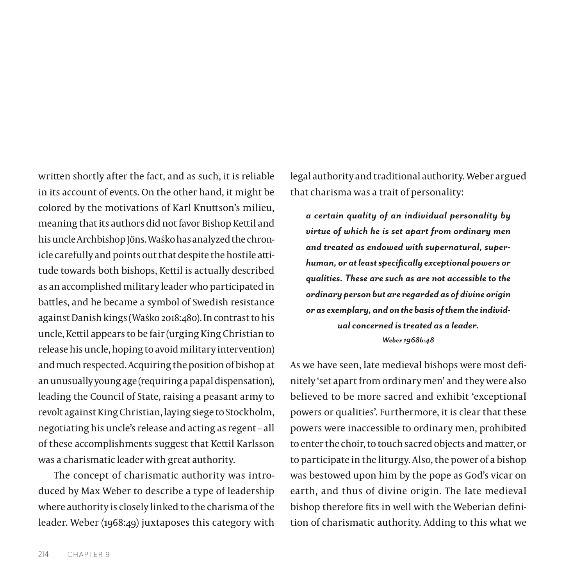written shortly after the fact, and as such, it is reliable in its account of events. On the other hand, it might be colored by the motivations of Karl Knuttson's milieu, meaning that its authors did not favor Bishop Kettil and his uncle Archbishop Jöns. Waśko has analyzed the chronicle carefully and points out that despite the hostile attitude towards both bishops, Kettil is actually described as an accomplished military leader who participated in battles, and he became a symbol of Swedish resistance against Danish kings (Waśko 2018:480). In contrast to his uncle, Kettil appears to be fair (urging King Christian to release his uncle, hoping to avoid military intervention) and much respected. Acquiring the position of bishop at an unusually young age (requiring a papal dispensation), leading the Council of State, raising a peasant army to revolt against King Christian, laying siege to Stockholm, negotiating his uncle's release and acting as regent – all of these accomplishments suggest that Kettil Karlsson was a charismatic leader with great authority.

The concept of charismatic authority was introduced by Max Weber to describe a type of leadership where authority is closely linked to the charisma of the leader. Weber (1968:49) juxtaposes this category with legal authority and traditional authority. Weber argued that charisma was a trait of personality:

*a certain quality of an individual personality by virtue of which he is set apart from ordinary men and treated as endowed with supernatural, superhuman, or at least specifically exceptional powers or qualities. These are such as are not accessible to the ordinary person but are regarded as of divine origin or as exemplary, and on the basis of them the individual concerned is treated as a leader. Weber 1968b:48*

As we have seen, late medieval bishops were most definitely 'set apart from ordinary men' and they were also believed to be more sacred and exhibit 'exceptional powers or qualities'. Furthermore, it is clear that these powers were inaccessible to ordinary men, prohibited to enter the choir, to touch sacred objects and matter, or to participate in the liturgy. Also, the power of a bishop was bestowed upon him by the pope as God's vicar on earth, and thus of divine origin. The late medieval bishop therefore fits in well with the Weberian definition of charismatic authority. Adding to this what we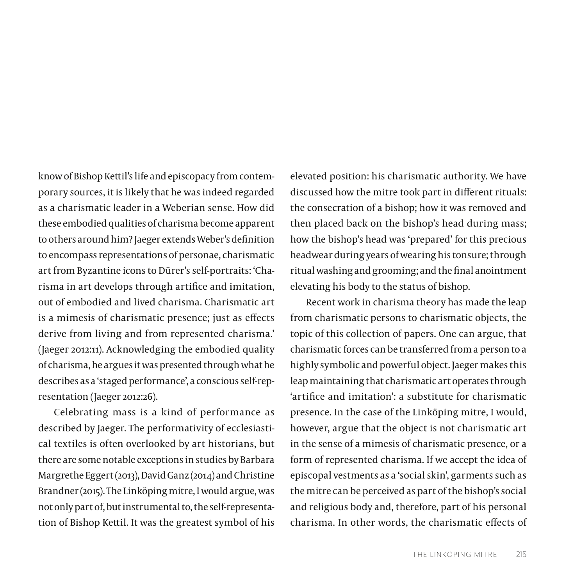know of Bishop Kettil's life and episcopacy from contemporary sources, it is likely that he was indeed regarded as a charismatic leader in a Weberian sense. How did these embodied qualities of charisma become apparent to others around him? Jaeger extends Weber's definition to encompass representations of personae, charismatic art from Byzantine icons to Dürer's self-portraits: 'Charisma in art develops through artifice and imitation, out of embodied and lived charisma. Charismatic art is a mimesis of charismatic presence; just as effects derive from living and from represented charisma.' (Jaeger 2012:11). Acknowledging the embodied quality of charisma, he argues it was presented through what he describes as a 'staged performance', a conscious self-representation (Jaeger 2012:26).

Celebrating mass is a kind of performance as described by Jaeger. The performativity of ecclesiastical textiles is often overlooked by art historians, but there are some notable exceptions in studies by Barbara Margrethe Eggert (2013), David Ganz (2014) and Christine Brandner (2015). The Linköping mitre, I would argue, was not only part of, but instrumental to, the self-representation of Bishop Kettil. It was the greatest symbol of his

elevated position: his charismatic authority. We have discussed how the mitre took part in different rituals: the consecration of a bishop; how it was removed and then placed back on the bishop's head during mass; how the bishop's head was 'prepared' for this precious headwear during years of wearing his tonsure; through ritual washing and grooming; and the final anointment elevating his body to the status of bishop.

Recent work in charisma theory has made the leap from charismatic persons to charismatic objects, the topic of this collection of papers. One can argue, that charismatic forces can be transferred from a person to a highly symbolic and powerful object. Jaeger makes this leap maintaining that charismatic art operates through 'artifice and imitation': a substitute for charismatic presence. In the case of the Linköping mitre, I would, however, argue that the object is not charismatic art in the sense of a mimesis of charismatic presence, or a form of represented charisma. If we accept the idea of episcopal vestments as a 'social skin', garments such as the mitre can be perceived as part of the bishop's social and religious body and, therefore, part of his personal charisma. In other words, the charismatic effects of